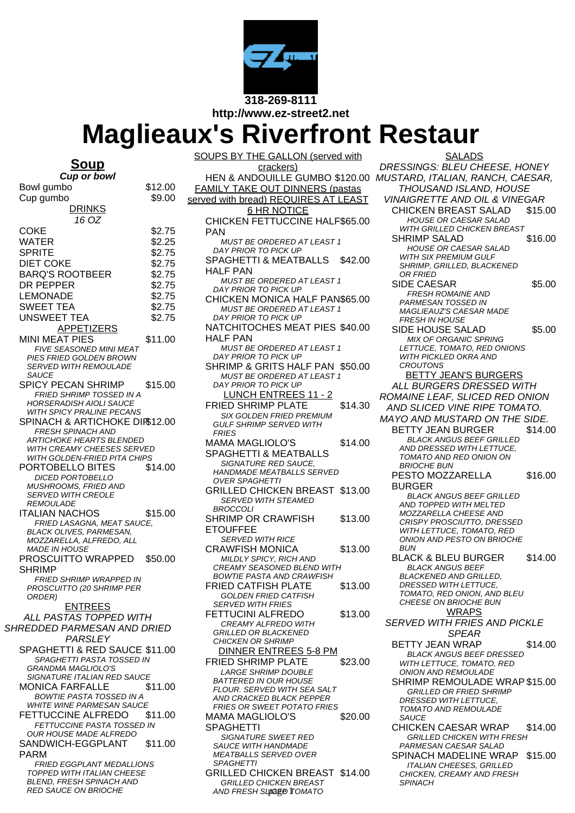

**http://www.ez-street2.net**

## **Maglieaux's Riverfront Restaur**

## **Soup**

**Cup or bowl** Bowl gumbo \$12.00 Cup gumbo \$9.00 DRINKS 16 OZ COKE \$2.75 WATER \$2.25 SPRITE \$2.75 DIET COKE \$2.75 BARQ'S ROOTBEER \$2.75 DR PEPPER \$2.75 LEMONADE \$2.75 SWEET TEA \$2.75 UNSWEET TEA \$2.75 **APPETIZERS** MINI MEAT PIES \$11.00 FIVE SEASONED MINI MEAT PIES FRIED GOLDEN BROWN SERVED WITH REMOULADE **SAUCE** SPICY PECAN SHRIMP \$15.00 FRIED SHRIMP TOSSED IN A HORSERADISH AIOLI SAUCE WITH SPICY PRALINE PECANS SPINACH & ARTICHOKE DIR\$12.00 FRESH SPINACH AND **ARTICHOKE HEARTS BLENDED** WITH CREAMY CHEESES SERVED WITH GOLDEN-FRIED PITA CHIPS PORTOBELLO BITES \$14.00 DICED PORTOBELLO MUSHROOMS, FRIED AND SERVED WITH CREOLE **REMOULADE** ITALIAN NACHOS \$15.00 FRIED LASAGNA, MEAT SAUCE, BLACK OLIVES, PARMESAN, MOZZARELLA, ALFREDO, ALL MADE IN HOUSE PROSCUITTO WRAPPED SHRIMP \$50.00 FRIED SHRIMP WRAPPED IN PROSCUITTO (20 SHRIMP PER ORDER) ENTREES ALL PASTAS TOPPED WITH SHREDDED PARMESAN AND DRIED **PARSLEY** SPAGHETTI & RED SAUCE \$11.00 SPAGHETTI PASTA TOSSED IN GRANDMA MAGLIOLO'S SIGNATURE ITALIAN RED SAUCE MONICA FARFALLE \$11.00 BOWTIE PASTA TOSSED IN A WHITE WINE PARMESAN SAUCE FETTUCCINE ALFREDO \$11.00 FETTUCCINE PASTA TOSSED IN OUR HOUSE MADE ALFREDO SANDWICH-EGGPLANT PARM \$11.00 FRIED EGGPLANT MEDALLIONS TOPPED WITH ITALIAN CHEESE BLEND, FRESH SPINACH AND

RED SAUCE ON BRIOCHE

SOUPS BY THE GALLON (served with crackers) FAMILY TAKE OUT DINNERS (pastas served with bread) REQUIRES AT LEAST 6 HR NOTICE CHICKEN FETTUCCINE HALF \$65.00 PAN MUST BE ORDERED AT LEAST 1 DAY PRIOR TO PICK UP SPAGHETTI & MEATBALLS HALF PAN \$42.00 MUST BE ORDERED AT LEAST 1 DAY PRIOR TO PICK UP CHICKEN MONICA HALF PAN\$65.00 MUST BE ORDERED AT LEAST 1 DAY PRIOR TO PICK UP NATCHITOCHES MEAT PIES \$40.00 HALF PAN MUST BE ORDERED AT LEAST 1 DAY PRIOR TO PICK UP SHRIMP & GRITS HALF PAN \$50.00 MUST BE ORDERED AT LEAST 1 DAY PRIOR TO PICK UP LUNCH ENTREES 11 - 2 FRIED SHRIMP PLATE \$14.30 SIX GOLDEN FRIED PREMIUM GULF SHRIMP SERVED WITH **FRIES** MAMA MAGLIOLO'S SPAGHETTI & MEATBALLS \$14.00 SIGNATURE RED SAUCE, HANDMADE MEATBALLS SERVED OVER SPAGHETTI GRILLED CHICKEN BREAST \$13.00 SERVED WITH STEAMED BROCCOLI SHRIMP OR CRAWFISH **FTOUFFEE** \$13.00 SERVED WITH RICE CRAWFISH MONICA \$13.00 MILDLY SPICY, RICH AND CREAMY SEASONED BLEND WITH BOWTIE PASTA AND CRAWFISH FRIED CATFISH PLATE \$13.00 GOLDEN FRIED CATFISH SERVED WITH FRIES FETTUCINI ALFREDO \$13.00 CREAMY ALFREDO WITH GRILLED OR BLACKENED CHICKEN OR SHRIMP DINNER ENTREES 5-8 PM FRIED SHRIMP PLATE \$23.00 LARGE SHRIMP DOUBLE BATTERED IN OUR HOUSE FLOUR. SERVED WITH SEA SALT AND CRACKED BLACK PEPPER FRIES OR SWEET POTATO FRIES MAMA MAGLIOLO'S SPAGHETTI \$20.00 SIGNATURE SWEET RED SAUCE WITH HANDMADE MEATBALLS SERVED OVER **SPAGHETTI** GRILLED CHICKEN BREAST \$14.00 GRILLED CHICKEN BREAST AND FRESH SL**IMSEE**D **IT**OMATO

HEN & ANDOUILLE GUMBO \$120.00 MUSTARD, ITALIAN, RANCH, CAESAR, SALADS DRESSINGS: BLEU CHEESE, HONEY THOUSAND ISLAND, HOUSE VINAIGRETTE AND OIL & VINEGAR CHICKEN BREAST SALAD \$15.00 HOUSE OR CAESAR SALAD WITH GRILLED CHICKEN BREAST SHRIMP SALAD \$16.00 HOUSE OR CAESAR SALAD WITH SIX PREMIUM GULF SHRIMP, GRILLED, BLACKENED OR FRIED SIDE CAESAR \$5.00 FRESH ROMAINE AND PARMESAN TOSSED IN MAGLIEAUZ'S CAESAR MADE FRESH IN HOUSE SIDE HOUSE SALAD \$5.00 MIX OF ORGANIC SPRING LETTUCE, TOMATO, RED ONIONS WITH PICKLED OKRA AND **CROUTONS** BETTY JEAN'S BURGERS ALL BURGERS DRESSED WITH ROMAINE LEAF, SLICED RED ONION AND SLICED VINE RIPE TOMATO. MAYO AND MUSTARD ON THE SIDE. BETTY JEAN BURGER \$14.00 BLACK ANGUS BEEF GRILLED AND DRESSED WITH LETTUCE, TOMATO AND RED ONION ON BRIOCHE BUN PESTO MOZZARELLA BURGER \$16.00 BLACK ANGUS BEEF GRILLED AND TOPPED WITH MELTED MOZZARELLA CHEESE AND CRISPY PROSCIUTTO, DRESSED WITH LETTUCE, TOMATO, RED ONION AND PESTO ON BRIOCHE **BUN** BLACK & BLEU BURGER \$14.00 BLACK ANGUS BEEF BLACKENED AND GRILLED, DRESSED WITH LETTUCE, TOMATO, RED ONION, AND BLEU CHEESE ON BRIOCHE BUN **WRAPS** SERVED WITH FRIES AND PICKLE SPEAR BETTY JEAN WRAP \$14.00 BLACK ANGUS BEEF DRESSED WITH LETTUCE, TOMATO, RED ONION AND REMOULADE SHRIMP REMOULADE WRAP \$15.00 GRILLED OR FRIED SHRIMP DRESSED WITH LETTUCE, TOMATO AND REMOULADE **SAUCE** CHICKEN CAESAR WRAP \$14.00 GRILLED CHICKEN WITH FRESH PARMESAN CAESAR SALAD SPINACH MADELINE WRAP \$15.00 ITALIAN CHEESES, GRILLED CHICKEN, CREAMY AND FRESH **SPINACH**